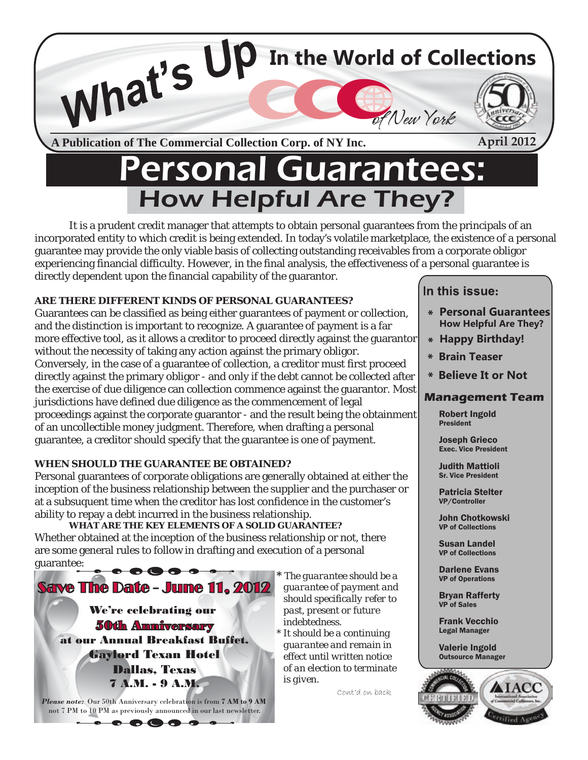

# ersonal Guarantees: How Helpful Are They?

It is a prudent credit manager that attempts to obtain personal guarantees from the principals of an incorporated entity to which credit is being extended. In today's volatile marketplace, the existence of a personal guarantee may provide the only viable basis of collecting outstanding receivables from a corporate obligor experiencing financial difficulty. However, in the final analysis, the effectiveness of a personal guarantee is directly dependent upon the financial capability of the guarantor.

### **ARE THERE DIFFERENT KINDS OF PERSONAL GUARANTEES?**

Guarantees can be classified as being either guarantees of payment or collection, and the distinction is important to recognize. A guarantee of payment is a far more effective tool, as it allows a creditor to proceed directly against the guarantor without the necessity of taking any action against the primary obligor. Conversely, in the case of a guarantee of collection, a creditor must first proceed directly against the primary obligor - and only if the debt cannot be collected after the exercise of due diligence can collection commence against the guarantor. Most jurisdictions have defined due diligence as the commencement of legal proceedings against the corporate guarantor - and the result being the obtainment of an uncollectible money judgment. Therefore, when drafting a personal guarantee, a creditor should specify that the guarantee is one of payment.

#### **WHEN SHOULD THE GUARANTEE BE OBTAINED?**

Personal guarantees of corporate obligations are generally obtained at either the inception of the business relationship between the supplier and the purchaser or at a subsuquent time when the creditor has lost confidence in the customer's ability to repay a debt incurred in the business relationship.

 *WHAT ARE THE KEY ELEMENTS OF A SOLID GUARANTEE?* Whether obtained at the inception of the business relationship or not, there are some general rules to follow in drafting and execution of a personal



 $\bullet$  $\bullet$  $\bullet$ 

Ä

 $\bullet$ 

 **\*** *The guarantee should be a should specifically refer to guarantee and remain in of an election to terminate* 

Cont'd on back

## In this issue:

- **Personal Guarantees How Helpful Are They?**
- **Happy Birthday!**
- **Brain Teaser**
- **Believe It or Not**

#### **Management Team**

Robert Ingold President

Joseph Grieco Exec. Vice President

Judith Mattioli Sr. Vice President

Patricia Stelter VP/Controller

John Chotkowski VP of Collections

Susan Landel VP of Collections

Darlene Evans VP of Operations

Bryan Rafferty VP of Sales

Frank Vecchio Legal Manager

Valerie Ingold Outsource Manager